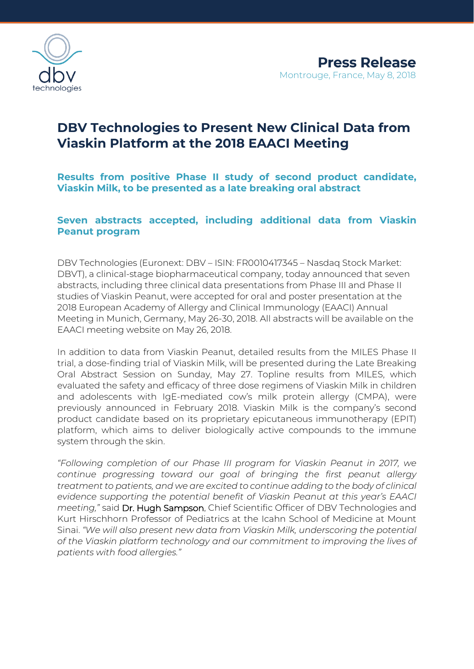

# **DBV Technologies to Present New Clinical Data from Viaskin Platform at the 2018 EAACI Meeting**

**Results from positive Phase II study of second product candidate, Viaskin Milk, to be presented as a late breaking oral abstract** 

# **Seven abstracts accepted, including additional data from Viaskin Peanut program**

DBV Technologies (Euronext: DBV – ISIN: FR0010417345 – Nasdaq Stock Market: DBVT), a clinical-stage biopharmaceutical company, today announced that seven abstracts, including three clinical data presentations from Phase III and Phase II studies of Viaskin Peanut, were accepted for oral and poster presentation at the 2018 European Academy of Allergy and Clinical Immunology (EAACI) Annual Meeting in Munich, Germany, May 26-30, 2018. All abstracts will be available on the EAACI meeting website on May 26, 2018.

In addition to data from Viaskin Peanut, detailed results from the MILES Phase II trial, a dose-finding trial of Viaskin Milk, will be presented during the Late Breaking Oral Abstract Session on Sunday, May 27. Topline results from MILES, which evaluated the safety and efficacy of three dose regimens of Viaskin Milk in children and adolescents with IgE-mediated cow's milk protein allergy (CMPA), were previously announced in February 2018. Viaskin Milk is the company's second product candidate based on its proprietary epicutaneous immunotherapy (EPIT) platform, which aims to deliver biologically active compounds to the immune system through the skin.

*"Following completion of our Phase III program for Viaskin Peanut in 2017, we continue progressing toward our goal of bringing the first peanut allergy treatment to patients, and we are excited to continue adding to the body of clinical evidence supporting the potential benefit of Viaskin Peanut at this year's EAACI meeting,"* said Dr. Hugh Sampson, Chief Scientific Officer of DBV Technologies and Kurt Hirschhorn Professor of Pediatrics at the Icahn School of Medicine at Mount Sinai. *"We will also present new data from Viaskin Milk, underscoring the potential of the Viaskin platform technology and our commitment to improving the lives of patients with food allergies."*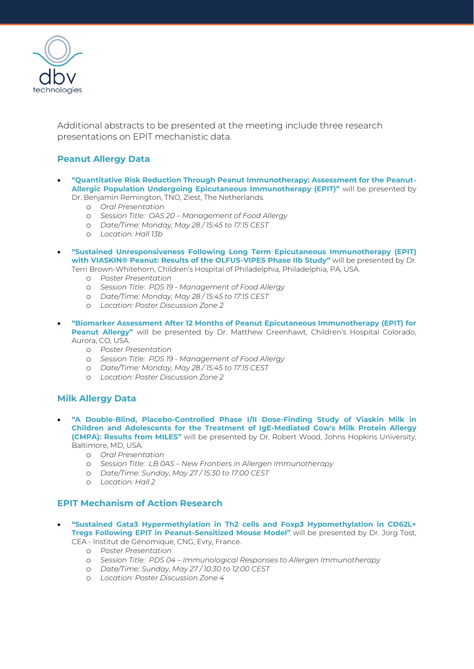

Additional abstracts to be presented at the meeting include three research presentations on EPIT mechanistic data.

# **Peanut Allergy Data**

- **"Quantitative Risk Reduction Through Peanut Immunotherapy: Assessment for the Peanut-Allergic Population Undergoing Epicutaneous Immunotherapy (EPIT)"** will be presented by Dr. Benjamin Remington, TNO, Ziest, The Netherlands.
	- o *Oral Presentation*
	- o *Session Title: OAS 20 – Management of Food Allergy*
	- o *Date/Time: Monday, May 28 / 15:45 to 17:15 CEST*
	- o *Location: Hall 13b*
- **"Sustained Unresponsiveness Following Long Term Epicutaneous Immunotherapy (EPIT) with VIASKIN® Peanut: Results of the OLFUS-VIPES Phase IIb Study"** will be presented by Dr. Terri Brown-Whitehorn, Children's Hospital of Philadelphia, Philadelphia, PA, USA.
	- o *Poster Presentation*
	- o *Session Title: PDS 19 - Management of Food Allergy*
	- o *Date/Time: Monday, May 28 / 15:45 to 17:15 CEST*
	- o *Location: Poster Discussion Zone 2*
- **"Biomarker Assessment After 12 Months of Peanut Epicutaneous Immunotherapy (EPIT) for Peanut Allergy"** will be presented by Dr. Matthew Greenhawt, Children's Hospital Colorado, Aurora, CO, USA.
	- o *Poster Presentation*
	- o *Session Title: PDS 19 - Management of Food Allergy*
	- o *Date/Time: Monday, May 28 / 15:45 to 17:15 CEST*
	- o *Location: Poster Discussion Zone 2*

## **Milk Allergy Data**

- **"A Double-Blind, Placebo-Controlled Phase I/II Dose-Finding Study of Viaskin Milk in Children and Adolescents for the Treatment of IgE-Mediated Cow's Milk Protein Allergy (CMPA): Results from MILES"** will be presented by Dr. Robert Wood, Johns Hopkins University, Baltimore, MD, USA.
	- o *Oral Presentation*
	- o *Session Title: LB 0AS – New Frontiers in Allergen Immunotherapy*
	- o *Date/Time: Sunday, May 27 / 15:30 to 17:00 CEST*
	- o *Location: Hall 2*

# **EPIT Mechanism of Action Research**

## • **"Sustained Gata3 Hypermethylation in Th2 cells and Foxp3 Hypomethylation in CD62L+ Tregs Following EPIT in Peanut-Sensitized Mouse Model"** will be presented by Dr. Jorg Tost,

CEA - Institut de Génomique, CNG, Evry, France.

- o *Poster Presentation*
- o *Session Title: PDS 04 – Immunological Responses to Allergen Immunotherapy*
- o *Date/Time: Sunday, May 27 / 10:30 to 12:00 CEST*
- o *Location: Poster Discussion Zone 4*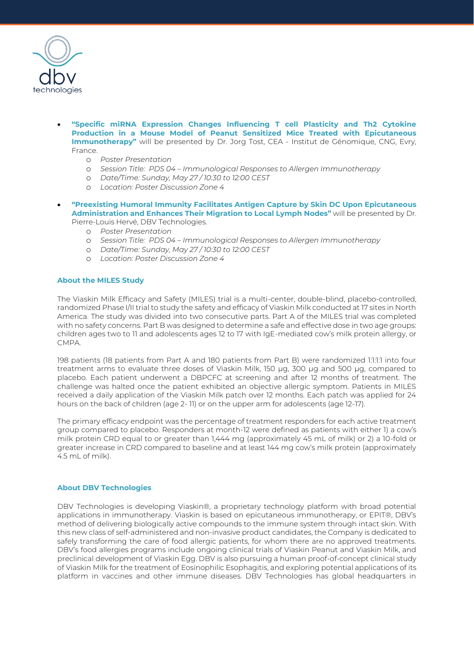

- **"Specific miRNA Expression Changes Influencing T cell Plasticity and Th2 Cytokine Production in a Mouse Model of Peanut Sensitized Mice Treated with Epicutaneous Immunotherapy"** will be presented by Dr. Jorg Tost, CEA - Institut de Génomique, CNG, Evry, France.
	- o *Poster Presentation*
	- o *Session Title: PDS 04 – Immunological Responses to Allergen Immunotherapy*
	- o *Date/Time: Sunday, May 27 / 10:30 to 12:00 CEST*
	- o *Location: Poster Discussion Zone 4*
- **"Preexisting Humoral Immunity Facilitates Antigen Capture by Skin DC Upon Epicutaneous Administration and Enhances Their Migration to Local Lymph Nodes"** will be presented by Dr. Pierre-Louis Hervé, DBV Technologies.
	- o *Poster Presentation*
	- o *Session Title: PDS 04 – Immunological Responses to Allergen Immunotherapy*
	- o *Date/Time: Sunday, May 27 / 10:30 to 12:00 CEST*
	- o *Location: Poster Discussion Zone 4*

#### **About the MILES Study**

The Viaskin Milk Efficacy and Safety (MILES) trial is a multi-center, double-blind, placebo-controlled, randomized Phase I/II trial to study the safety and efficacy of Viaskin Milk conducted at 17 sites in North America. The study was divided into two consecutive parts. Part A of the MILES trial was completed with no safety concerns. Part B was designed to determine a safe and effective dose in two age groups: children ages two to 11 and adolescents ages 12 to 17 with IgE-mediated cow's milk protein allergy, or CMPA.

198 patients (18 patients from Part A and 180 patients from Part B) were randomized 1:1:1:1 into four treatment arms to evaluate three doses of Viaskin Milk, 150 μg, 300 μg and 500 μg, compared to placebo. Each patient underwent a DBPCFC at screening and after 12 months of treatment. The challenge was halted once the patient exhibited an objective allergic symptom. Patients in MILES received a daily application of the Viaskin Milk patch over 12 months. Each patch was applied for 24 hours on the back of children (age 2- 11) or on the upper arm for adolescents (age 12-17).

The primary efficacy endpoint was the percentage of treatment responders for each active treatment group compared to placebo. Responders at month-12 were defined as patients with either 1) a cow's milk protein CRD equal to or greater than 1,444 mg (approximately 45 mL of milk) or 2) a 10-fold or greater increase in CRD compared to baseline and at least 144 mg cow's milk protein (approximately 4.5 mL of milk).

#### **About DBV Technologies**

DBV Technologies is developing Viaskin®, a proprietary technology platform with broad potential applications in immunotherapy. Viaskin is based on epicutaneous immunotherapy, or EPIT®, DBV's method of delivering biologically active compounds to the immune system through intact skin. With this new class of self-administered and non-invasive product candidates, the Company is dedicated to safely transforming the care of food allergic patients, for whom there are no approved treatments. DBV's food allergies programs include ongoing clinical trials of Viaskin Peanut and Viaskin Milk, and preclinical development of Viaskin Egg. DBV is also pursuing a human proof-of-concept clinical study of Viaskin Milk for the treatment of Eosinophilic Esophagitis, and exploring potential applications of its platform in vaccines and other immune diseases. DBV Technologies has global headquarters in